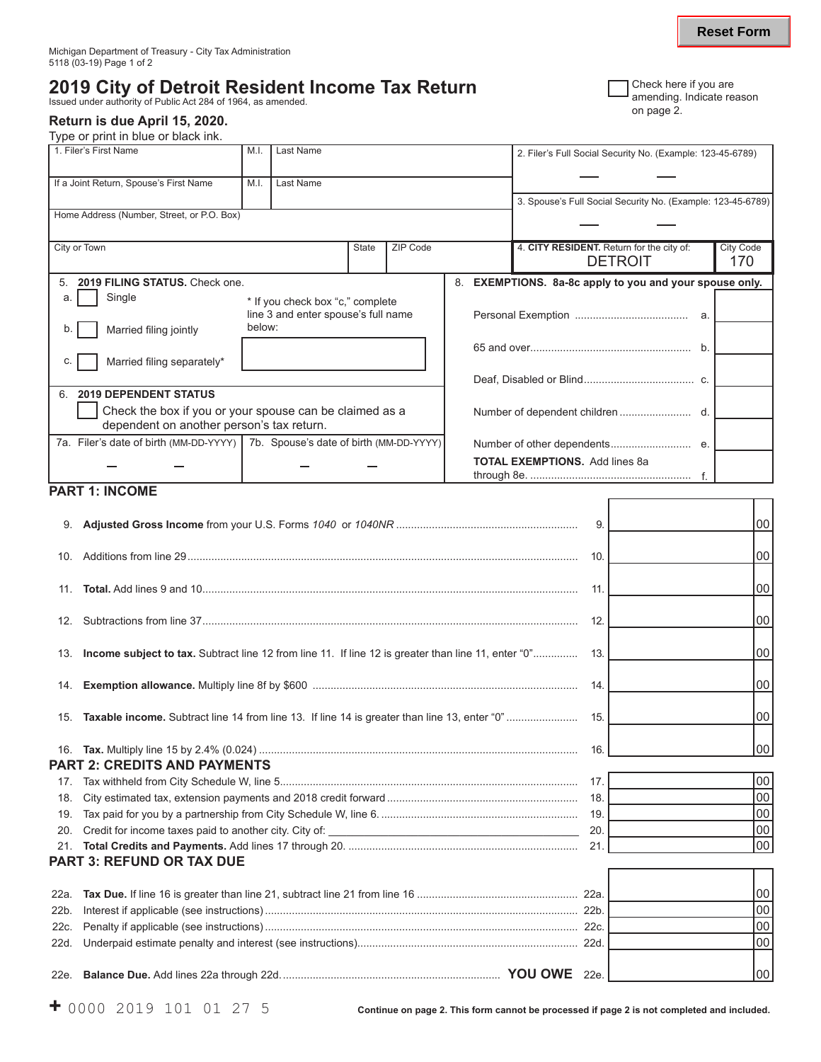# **2019 City of Detroit Resident Income Tax Return** Check here if you are

amending. Indicate reason Issued under authority of Public Act 284 of 1964, as amended.<br>Issued under authority of Public Act 284 of 1964, as amended. on page 2.

### **Return is due April 15, 2020.**

Type or print in blue or black ink.

| 1. Filer's First Name                                                            | M.I.                                                                              | Last Name |              |                 |  | 2. Filer's Full Social Security No. (Example: 123-45-6789)        |                         |  |  |
|----------------------------------------------------------------------------------|-----------------------------------------------------------------------------------|-----------|--------------|-----------------|--|-------------------------------------------------------------------|-------------------------|--|--|
| If a Joint Return, Spouse's First Name                                           | M.I.                                                                              | Last Name |              |                 |  |                                                                   |                         |  |  |
|                                                                                  |                                                                                   |           |              |                 |  | 3. Spouse's Full Social Security No. (Example: 123-45-6789)       |                         |  |  |
| Home Address (Number, Street, or P.O. Box)                                       |                                                                                   |           |              |                 |  |                                                                   |                         |  |  |
|                                                                                  |                                                                                   |           |              |                 |  |                                                                   |                         |  |  |
| City or Town                                                                     |                                                                                   |           | <b>State</b> | <b>ZIP Code</b> |  | 4. CITY RESIDENT. Return for the city of:<br><b>DETROIT</b>       | <b>City Code</b><br>170 |  |  |
| 5                                                                                | 2019 FILING STATUS, Check one.                                                    |           |              |                 |  | <b>EXEMPTIONS.</b> 8a-8c apply to you and your spouse only.<br>8. |                         |  |  |
| Single<br>a.                                                                     | * If you check box "c," complete<br>line 3 and enter spouse's full name<br>below: |           |              |                 |  |                                                                   |                         |  |  |
| Married filing jointly<br>b.                                                     |                                                                                   |           |              |                 |  |                                                                   |                         |  |  |
|                                                                                  |                                                                                   |           |              |                 |  | b.                                                                |                         |  |  |
| Married filing separately*<br>C.                                                 |                                                                                   |           |              |                 |  |                                                                   |                         |  |  |
|                                                                                  |                                                                                   |           |              |                 |  |                                                                   |                         |  |  |
| <b>2019 DEPENDENT STATUS</b><br>6                                                |                                                                                   |           |              |                 |  |                                                                   |                         |  |  |
| Check the box if you or your spouse can be claimed as a                          |                                                                                   |           |              |                 |  |                                                                   |                         |  |  |
| dependent on another person's tax return.                                        |                                                                                   |           |              |                 |  |                                                                   |                         |  |  |
| 7a. Filer's date of birth (MM-DD-YYYY)   7b. Spouse's date of birth (MM-DD-YYYY) |                                                                                   |           |              |                 |  |                                                                   |                         |  |  |
|                                                                                  |                                                                                   |           |              |                 |  | <b>TOTAL EXEMPTIONS.</b> Add lines 8a                             |                         |  |  |

## **PART 1: INCOME**

|      |                                                                                                         | 9.              | 00              |
|------|---------------------------------------------------------------------------------------------------------|-----------------|-----------------|
| 10.  |                                                                                                         | 10.             | 00              |
|      |                                                                                                         | 11.             | 00 l            |
|      |                                                                                                         | 12.             | 00              |
|      | 13. Income subject to tax. Subtract line 12 from line 11. If line 12 is greater than line 11, enter "0" | 13.             | 00 l            |
| 14.  |                                                                                                         | 14.             | 00              |
| 15.  | <b>Taxable income.</b> Subtract line 14 from line 13. If line 14 is greater than line 13, enter "0"     | 15.             | 00 <sup>1</sup> |
|      | <b>PART 2: CREDITS AND PAYMENTS</b>                                                                     | 16.             | 00              |
| 17.  |                                                                                                         | 17 <sub>1</sub> | 00              |
| 18.  |                                                                                                         |                 | 00              |
| 19.  |                                                                                                         | 19.             | 00              |
| 20.  |                                                                                                         | 20.             | 00              |
|      |                                                                                                         | 21.             | 00              |
|      | <b>PART 3: REFUND OR TAX DUE</b>                                                                        |                 |                 |
|      |                                                                                                         |                 |                 |
| 22a. |                                                                                                         |                 | 00              |
| 22b. |                                                                                                         |                 | 00              |
| 22c. |                                                                                                         |                 | 00              |
| 22d. |                                                                                                         |                 | 00              |
|      |                                                                                                         |                 | 00 l            |